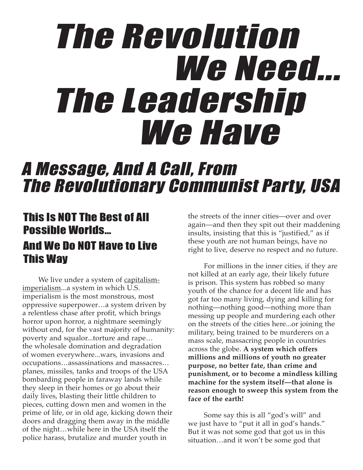# The Revolution We Need... The Leadership We Have

## A Message, And A Call, From The Revolutionary Communist Party, USA

### This Is NOT The Best of All Possible Worlds… And We Do NOT Have to Live

# This Way

We live under a system of capitalismimperialism...a system in which U.S. imperialism is the most monstrous, most oppressive superpower…a system driven by a relentless chase after profit, which brings horror upon horror, a nightmare seemingly without end, for the vast majority of humanity: poverty and squalor...torture and rape… the wholesale domination and degradation of women everywhere...wars, invasions and occupations…assassinations and massacres… planes, missiles, tanks and troops of the USA bombarding people in faraway lands while they sleep in their homes or go about their daily lives, blasting their little children to pieces, cutting down men and women in the prime of life, or in old age, kicking down their doors and dragging them away in the middle of the night…while here in the USA itself the police harass, brutalize and murder youth in

the streets of the inner cities—over and over again—and then they spit out their maddening insults, insisting that this is "justified," as if these youth are not human beings, have no right to live, deserve no respect and no future.

For millions in the inner cities, if they are not killed at an early age, their likely future is prison. This system has robbed so many youth of the chance for a decent life and has got far too many living, dying and killing for nothing—nothing good—nothing more than messing up people and murdering each other on the streets of the cities here...or joining the military, being trained to be murderers on a mass scale, massacring people in countries across the globe. **A system which offers millions and millions of youth no greater purpose, no better fate, than crime and punishment, or to become a mindless killing machine for the system itself—that alone is reason enough to sweep this system from the face of the earth!**

Some say this is all "god's will" and we just have to "put it all in god's hands." But it was not some god that got us in this situation…and it won't be some god that